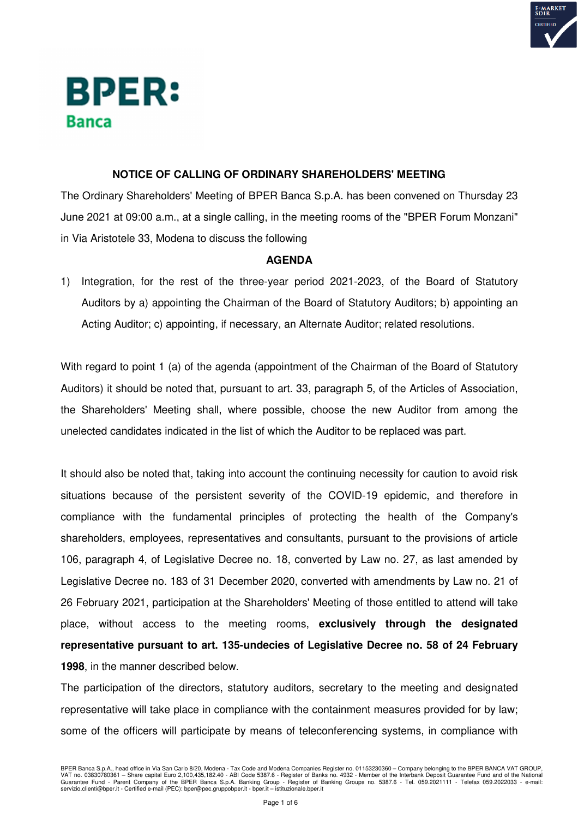

# **BPER: Banca**

## **NOTICE OF CALLING OF ORDINARY SHAREHOLDERS' MEETING**

The Ordinary Shareholders' Meeting of BPER Banca S.p.A. has been convened on Thursday 23 June 2021 at 09:00 a.m., at a single calling, in the meeting rooms of the "BPER Forum Monzani" in Via Aristotele 33, Modena to discuss the following

### **AGENDA**

1) Integration, for the rest of the three-year period 2021-2023, of the Board of Statutory Auditors by a) appointing the Chairman of the Board of Statutory Auditors; b) appointing an Acting Auditor; c) appointing, if necessary, an Alternate Auditor; related resolutions.

With regard to point 1 (a) of the agenda (appointment of the Chairman of the Board of Statutory Auditors) it should be noted that, pursuant to art. 33, paragraph 5, of the Articles of Association, the Shareholders' Meeting shall, where possible, choose the new Auditor from among the unelected candidates indicated in the list of which the Auditor to be replaced was part.

It should also be noted that, taking into account the continuing necessity for caution to avoid risk situations because of the persistent severity of the COVID-19 epidemic, and therefore in compliance with the fundamental principles of protecting the health of the Company's shareholders, employees, representatives and consultants, pursuant to the provisions of article 106, paragraph 4, of Legislative Decree no. 18, converted by Law no. 27, as last amended by Legislative Decree no. 183 of 31 December 2020, converted with amendments by Law no. 21 of 26 February 2021, participation at the Shareholders' Meeting of those entitled to attend will take place, without access to the meeting rooms, **exclusively through the designated representative pursuant to art. 135-undecies of Legislative Decree no. 58 of 24 February 1998**, in the manner described below.

The participation of the directors, statutory auditors, secretary to the meeting and designated representative will take place in compliance with the containment measures provided for by law; some of the officers will participate by means of teleconferencing systems, in compliance with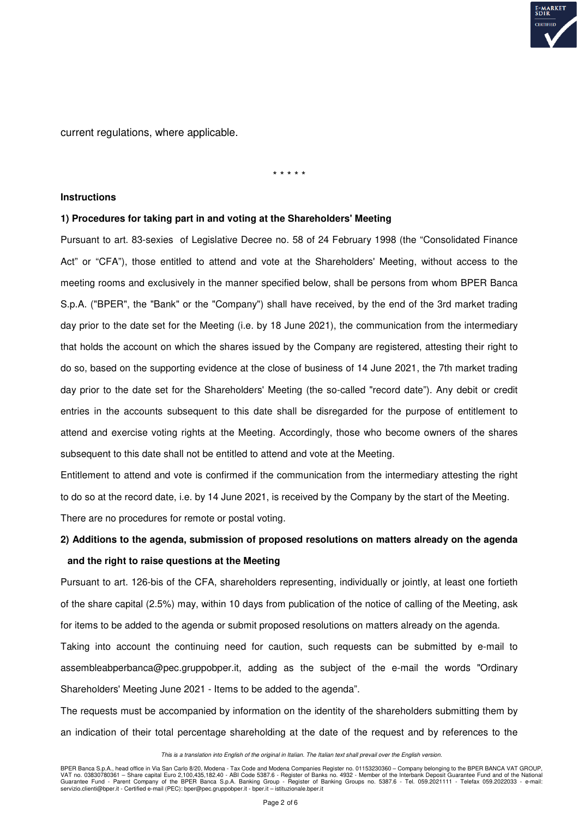

current regulations, where applicable.

#### \* \* \* \* \*

#### **Instructions**

#### **1) Procedures for taking part in and voting at the Shareholders' Meeting**

Pursuant to art. 83-sexies of Legislative Decree no. 58 of 24 February 1998 (the "Consolidated Finance Act" or "CFA"), those entitled to attend and vote at the Shareholders' Meeting, without access to the meeting rooms and exclusively in the manner specified below, shall be persons from whom BPER Banca S.p.A. ("BPER", the "Bank" or the "Company") shall have received, by the end of the 3rd market trading day prior to the date set for the Meeting (i.e. by 18 June 2021), the communication from the intermediary that holds the account on which the shares issued by the Company are registered, attesting their right to do so, based on the supporting evidence at the close of business of 14 June 2021, the 7th market trading day prior to the date set for the Shareholders' Meeting (the so-called "record date"). Any debit or credit entries in the accounts subsequent to this date shall be disregarded for the purpose of entitlement to attend and exercise voting rights at the Meeting. Accordingly, those who become owners of the shares subsequent to this date shall not be entitled to attend and vote at the Meeting.

Entitlement to attend and vote is confirmed if the communication from the intermediary attesting the right to do so at the record date, i.e. by 14 June 2021, is received by the Company by the start of the Meeting. There are no procedures for remote or postal voting.

# **2) Additions to the agenda, submission of proposed resolutions on matters already on the agenda and the right to raise questions at the Meeting**

Pursuant to art. 126-bis of the CFA, shareholders representing, individually or jointly, at least one fortieth of the share capital (2.5%) may, within 10 days from publication of the notice of calling of the Meeting, ask for items to be added to the agenda or submit proposed resolutions on matters already on the agenda.

Taking into account the continuing need for caution, such requests can be submitted by e-mail to assembleabperbanca@pec.gruppobper.it, adding as the subject of the e-mail the words "Ordinary Shareholders' Meeting June 2021 - Items to be added to the agenda".

The requests must be accompanied by information on the identity of the shareholders submitting them by an indication of their total percentage shareholding at the date of the request and by references to the

#### This is a translation into English of the original in Italian. The Italian text shall prevail over the English version.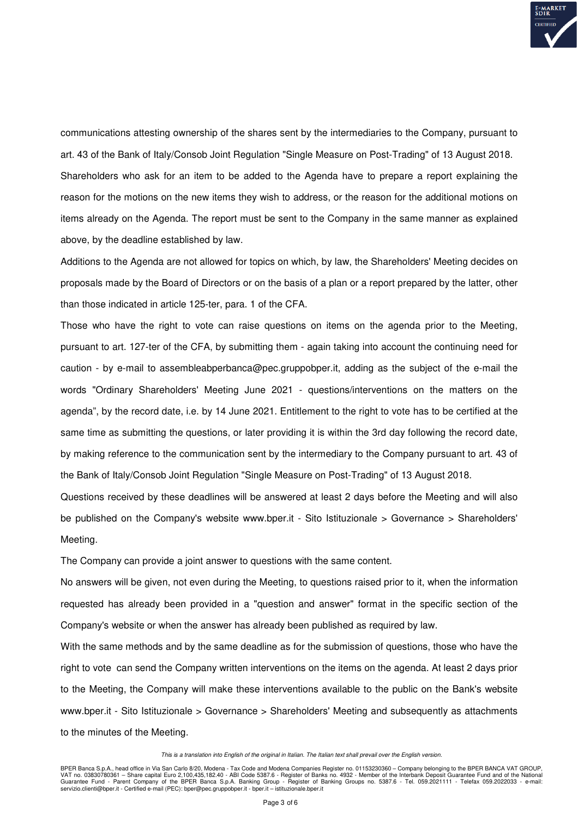

communications attesting ownership of the shares sent by the intermediaries to the Company, pursuant to art. 43 of the Bank of Italy/Consob Joint Regulation "Single Measure on Post-Trading" of 13 August 2018. Shareholders who ask for an item to be added to the Agenda have to prepare a report explaining the reason for the motions on the new items they wish to address, or the reason for the additional motions on items already on the Agenda. The report must be sent to the Company in the same manner as explained above, by the deadline established by law.

Additions to the Agenda are not allowed for topics on which, by law, the Shareholders' Meeting decides on proposals made by the Board of Directors or on the basis of a plan or a report prepared by the latter, other than those indicated in article 125-ter, para. 1 of the CFA.

Those who have the right to vote can raise questions on items on the agenda prior to the Meeting, pursuant to art. 127-ter of the CFA, by submitting them - again taking into account the continuing need for caution - by e-mail to assembleabperbanca@pec.gruppobper.it, adding as the subject of the e-mail the words "Ordinary Shareholders' Meeting June 2021 - questions/interventions on the matters on the agenda", by the record date, i.e. by 14 June 2021. Entitlement to the right to vote has to be certified at the same time as submitting the questions, or later providing it is within the 3rd day following the record date, by making reference to the communication sent by the intermediary to the Company pursuant to art. 43 of the Bank of Italy/Consob Joint Regulation "Single Measure on Post-Trading" of 13 August 2018.

Questions received by these deadlines will be answered at least 2 days before the Meeting and will also be published on the Company's website www.bper.it - Sito Istituzionale > Governance > Shareholders' Meeting.

The Company can provide a joint answer to questions with the same content.

No answers will be given, not even during the Meeting, to questions raised prior to it, when the information requested has already been provided in a "question and answer" format in the specific section of the Company's website or when the answer has already been published as required by law.

With the same methods and by the same deadline as for the submission of questions, those who have the right to vote can send the Company written interventions on the items on the agenda. At least 2 days prior to the Meeting, the Company will make these interventions available to the public on the Bank's website www.bper.it - Sito Istituzionale > Governance > Shareholders' Meeting and subsequently as attachments to the minutes of the Meeting.

This is a translation into English of the original in Italian. The Italian text shall prevail over the English version.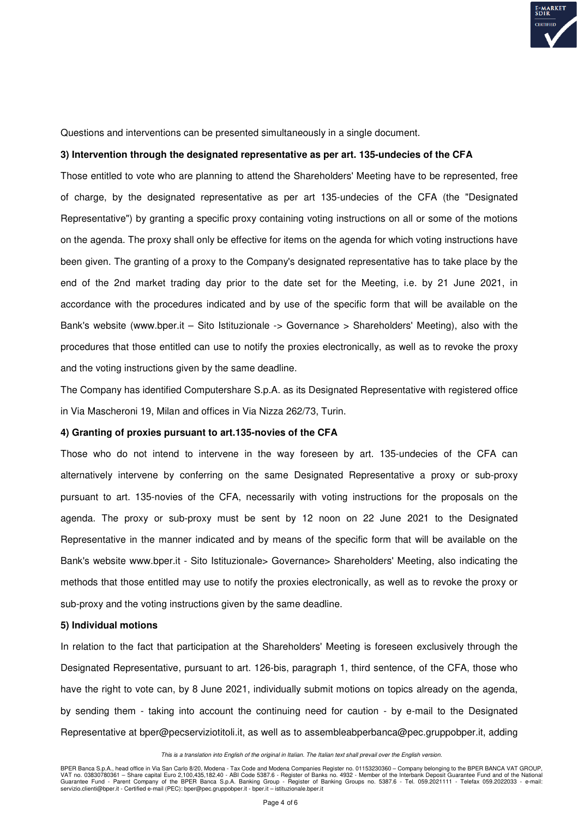

Questions and interventions can be presented simultaneously in a single document.

#### **3) Intervention through the designated representative as per art. 135-undecies of the CFA**

Those entitled to vote who are planning to attend the Shareholders' Meeting have to be represented, free of charge, by the designated representative as per art 135-undecies of the CFA (the "Designated Representative") by granting a specific proxy containing voting instructions on all or some of the motions on the agenda. The proxy shall only be effective for items on the agenda for which voting instructions have been given. The granting of a proxy to the Company's designated representative has to take place by the end of the 2nd market trading day prior to the date set for the Meeting, i.e. by 21 June 2021, in accordance with the procedures indicated and by use of the specific form that will be available on the Bank's website (www.bper.it – Sito Istituzionale -> Governance > Shareholders' Meeting), also with the procedures that those entitled can use to notify the proxies electronically, as well as to revoke the proxy and the voting instructions given by the same deadline.

The Company has identified Computershare S.p.A. as its Designated Representative with registered office in Via Mascheroni 19, Milan and offices in Via Nizza 262/73, Turin.

#### **4) Granting of proxies pursuant to art.135-novies of the CFA**

Those who do not intend to intervene in the way foreseen by art. 135-undecies of the CFA can alternatively intervene by conferring on the same Designated Representative a proxy or sub-proxy pursuant to art. 135-novies of the CFA, necessarily with voting instructions for the proposals on the agenda. The proxy or sub-proxy must be sent by 12 noon on 22 June 2021 to the Designated Representative in the manner indicated and by means of the specific form that will be available on the Bank's website www.bper.it - Sito Istituzionale> Governance> Shareholders' Meeting, also indicating the methods that those entitled may use to notify the proxies electronically, as well as to revoke the proxy or sub-proxy and the voting instructions given by the same deadline.

#### **5) Individual motions**

In relation to the fact that participation at the Shareholders' Meeting is foreseen exclusively through the Designated Representative, pursuant to art. 126-bis, paragraph 1, third sentence, of the CFA, those who have the right to vote can, by 8 June 2021, individually submit motions on topics already on the agenda, by sending them - taking into account the continuing need for caution - by e-mail to the Designated Representative at bper@pecserviziotitoli.it, as well as to assembleabperbanca@pec.gruppobper.it, adding

This is a translation into English of the original in Italian. The Italian text shall prevail over the English version.

BPER Banca S.p.A., head office in Via San Carlo 8/20, Modena - Tax Code and Modena Companies Register no. 01153230360 – Company belonging to the BPER BANCA VAT GROUP,<br>VAT no. 03830780361 – Share capital Euro 2,100,435,182. servizio.clienti@bper.it - Certified e-mail (PEC): bper@pec.gruppobper.it - bper.it – istituzionale.bper.it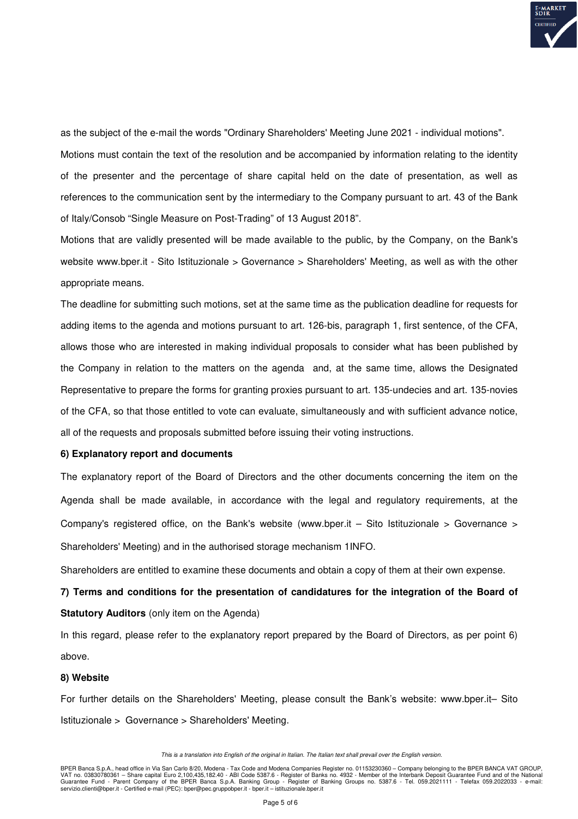

as the subject of the e-mail the words "Ordinary Shareholders' Meeting June 2021 - individual motions".

Motions must contain the text of the resolution and be accompanied by information relating to the identity of the presenter and the percentage of share capital held on the date of presentation, as well as references to the communication sent by the intermediary to the Company pursuant to art. 43 of the Bank of Italy/Consob "Single Measure on Post-Trading" of 13 August 2018".

Motions that are validly presented will be made available to the public, by the Company, on the Bank's website www.bper.it - Sito Istituzionale > Governance > Shareholders' Meeting, as well as with the other appropriate means.

The deadline for submitting such motions, set at the same time as the publication deadline for requests for adding items to the agenda and motions pursuant to art. 126-bis, paragraph 1, first sentence, of the CFA, allows those who are interested in making individual proposals to consider what has been published by the Company in relation to the matters on the agenda and, at the same time, allows the Designated Representative to prepare the forms for granting proxies pursuant to art. 135-undecies and art. 135-novies of the CFA, so that those entitled to vote can evaluate, simultaneously and with sufficient advance notice, all of the requests and proposals submitted before issuing their voting instructions.

#### **6) Explanatory report and documents**

The explanatory report of the Board of Directors and the other documents concerning the item on the Agenda shall be made available, in accordance with the legal and regulatory requirements, at the Company's registered office, on the Bank's website (www.bper.it – Sito Istituzionale > Governance > Shareholders' Meeting) and in the authorised storage mechanism 1INFO.

Shareholders are entitled to examine these documents and obtain a copy of them at their own expense.

**7) Terms and conditions for the presentation of candidatures for the integration of the Board of Statutory Auditors** (only item on the Agenda)

In this regard, please refer to the explanatory report prepared by the Board of Directors, as per point 6) above.

#### **8) Website**

For further details on the Shareholders' Meeting, please consult the Bank's website: www.bper.it– Sito Istituzionale > Governance > Shareholders' Meeting.

This is a translation into English of the original in Italian. The Italian text shall prevail over the English version.